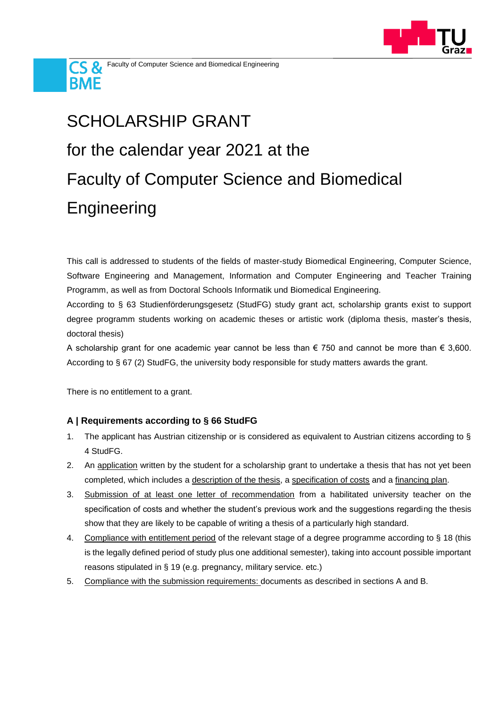



## SCHOLARSHIP GRANT for the calendar year 2021 at the Faculty of Computer Science and Biomedical **Engineering**

This call is addressed to students of the fields of master-study Biomedical Engineering, Computer Science, Software Engineering and Management, Information and Computer Engineering and Teacher Training Programm, as well as from Doctoral Schools Informatik und Biomedical Engineering.

According to § 63 Studienförderungsgesetz (StudFG) study grant act, scholarship grants exist to support degree programm students working on academic theses or artistic work (diploma thesis, master's thesis, doctoral thesis)

A scholarship grant for one academic year cannot be less than  $\epsilon$  750 and cannot be more than  $\epsilon$  3,600. According to § 67 (2) StudFG, the university body responsible for study matters awards the grant.

There is no entitlement to a grant.

## **A | Requirements according to § 66 StudFG**

- 1. The applicant has Austrian citizenship or is considered as equivalent to Austrian citizens according to § 4 StudFG.
- 2. An application written by the student for a scholarship grant to undertake a thesis that has not yet been completed, which includes a description of the thesis, a specification of costs and a financing plan.
- 3. Submission of at least one letter of recommendation from a habilitated university teacher on the specification of costs and whether the student's previous work and the suggestions regarding the thesis show that they are likely to be capable of writing a thesis of a particularly high standard.
- 4. Compliance with entitlement period of the relevant stage of a degree programme according to § 18 (this is the legally defined period of study plus one additional semester), taking into account possible important reasons stipulated in § 19 (e.g. pregnancy, military service. etc.)
- 5. Compliance with the submission requirements: documents as described in sections A and B.